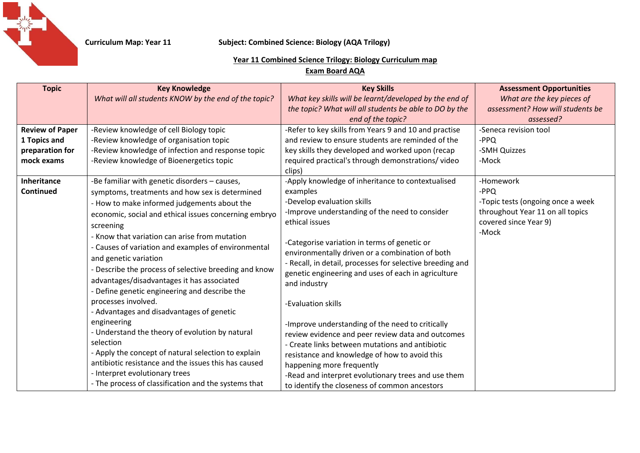

### **Curriculum Map: Year 11 Subject: Combined Science: Biology (AQA Trilogy)**

### **Year 11 Combined Science Trilogy: Biology Curriculum map**

## **Exam Board AQA**

| <b>Topic</b>                    | <b>Key Knowledge</b>                                                                                                                                                                                                                                                                                                                                                                                                              | <b>Key Skills</b>                                                                                                                                                                                                                                                                                                                                           | <b>Assessment Opportunities</b>                                                                         |
|---------------------------------|-----------------------------------------------------------------------------------------------------------------------------------------------------------------------------------------------------------------------------------------------------------------------------------------------------------------------------------------------------------------------------------------------------------------------------------|-------------------------------------------------------------------------------------------------------------------------------------------------------------------------------------------------------------------------------------------------------------------------------------------------------------------------------------------------------------|---------------------------------------------------------------------------------------------------------|
|                                 | What will all students KNOW by the end of the topic?                                                                                                                                                                                                                                                                                                                                                                              | What key skills will be learnt/developed by the end of<br>the topic? What will all students be able to DO by the                                                                                                                                                                                                                                            | What are the key pieces of<br>assessment? How will students be                                          |
|                                 |                                                                                                                                                                                                                                                                                                                                                                                                                                   | end of the topic?                                                                                                                                                                                                                                                                                                                                           | assessed?                                                                                               |
| <b>Review of Paper</b>          | -Review knowledge of cell Biology topic                                                                                                                                                                                                                                                                                                                                                                                           | -Refer to key skills from Years 9 and 10 and practise                                                                                                                                                                                                                                                                                                       | -Seneca revision tool                                                                                   |
| 1 Topics and<br>preparation for | -Review knowledge of organisation topic<br>-Review knowledge of infection and response topic                                                                                                                                                                                                                                                                                                                                      | and review to ensure students are reminded of the<br>key skills they developed and worked upon (recap                                                                                                                                                                                                                                                       | -PPQ<br>-SMH Quizzes                                                                                    |
| mock exams                      | -Review knowledge of Bioenergetics topic                                                                                                                                                                                                                                                                                                                                                                                          | required practical's through demonstrations/video                                                                                                                                                                                                                                                                                                           | -Mock                                                                                                   |
|                                 |                                                                                                                                                                                                                                                                                                                                                                                                                                   | clips)                                                                                                                                                                                                                                                                                                                                                      |                                                                                                         |
| Inheritance<br><b>Continued</b> | -Be familiar with genetic disorders - causes,<br>symptoms, treatments and how sex is determined                                                                                                                                                                                                                                                                                                                                   | -Apply knowledge of inheritance to contextualised<br>examples                                                                                                                                                                                                                                                                                               | -Homework<br>$-PPQ$                                                                                     |
|                                 | - How to make informed judgements about the<br>economic, social and ethical issues concerning embryo<br>screening<br>- Know that variation can arise from mutation<br>- Causes of variation and examples of environmental<br>and genetic variation<br>- Describe the process of selective breeding and know<br>advantages/disadvantages it has associated<br>- Define genetic engineering and describe the<br>processes involved. | -Develop evaluation skills<br>-Improve understanding of the need to consider<br>ethical issues<br>-Categorise variation in terms of genetic or<br>environmentally driven or a combination of both<br>- Recall, in detail, processes for selective breeding and<br>genetic engineering and uses of each in agriculture<br>and industry<br>-Evaluation skills | -Topic tests (ongoing once a week<br>throughout Year 11 on all topics<br>covered since Year 9)<br>-Mock |
|                                 | - Advantages and disadvantages of genetic<br>engineering<br>- Understand the theory of evolution by natural<br>selection<br>- Apply the concept of natural selection to explain<br>antibiotic resistance and the issues this has caused<br>- Interpret evolutionary trees<br>- The process of classification and the systems that                                                                                                 | -Improve understanding of the need to critically<br>review evidence and peer review data and outcomes<br>- Create links between mutations and antibiotic<br>resistance and knowledge of how to avoid this<br>happening more frequently<br>-Read and interpret evolutionary trees and use them<br>to identify the closeness of common ancestors              |                                                                                                         |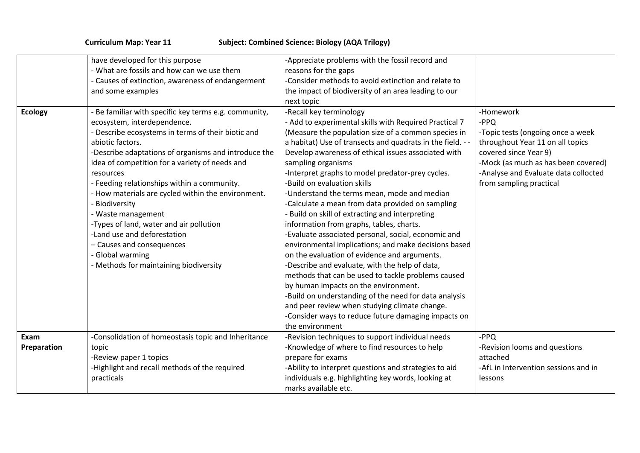# **Curriculum Map: Year 11 Subject: Combined Science: Biology (AQA Trilogy)**

|                | have developed for this purpose                       | -Appreciate problems with the fossil record and          |                                      |
|----------------|-------------------------------------------------------|----------------------------------------------------------|--------------------------------------|
|                | - What are fossils and how can we use them            | reasons for the gaps                                     |                                      |
|                | - Causes of extinction, awareness of endangerment     | -Consider methods to avoid extinction and relate to      |                                      |
|                | and some examples                                     | the impact of biodiversity of an area leading to our     |                                      |
|                |                                                       | next topic                                               |                                      |
| <b>Ecology</b> | - Be familiar with specific key terms e.g. community, | -Recall key terminology                                  | -Homework                            |
|                | ecosystem, interdependence.                           | - Add to experimental skills with Required Practical 7   | $-PPQ$                               |
|                | - Describe ecosystems in terms of their biotic and    | (Measure the population size of a common species in      | -Topic tests (ongoing once a week    |
|                | abiotic factors.                                      | a habitat) Use of transects and quadrats in the field. - | throughout Year 11 on all topics     |
|                | -Describe adaptations of organisms and introduce the  | Develop awareness of ethical issues associated with      | covered since Year 9)                |
|                | idea of competition for a variety of needs and        | sampling organisms                                       | -Mock (as much as has been covered)  |
|                | resources                                             | -Interpret graphs to model predator-prey cycles.         | -Analyse and Evaluate data collocted |
|                | - Feeding relationships within a community.           | -Build on evaluation skills                              | from sampling practical              |
|                | - How materials are cycled within the environment.    | -Understand the terms mean, mode and median              |                                      |
|                | - Biodiversity                                        | -Calculate a mean from data provided on sampling         |                                      |
|                | - Waste management                                    | - Build on skill of extracting and interpreting          |                                      |
|                | -Types of land, water and air pollution               | information from graphs, tables, charts.                 |                                      |
|                | -Land use and deforestation                           | -Evaluate associated personal, social, economic and      |                                      |
|                | - Causes and consequences                             | environmental implications; and make decisions based     |                                      |
|                | - Global warming                                      | on the evaluation of evidence and arguments.             |                                      |
|                | - Methods for maintaining biodiversity                | -Describe and evaluate, with the help of data,           |                                      |
|                |                                                       | methods that can be used to tackle problems caused       |                                      |
|                |                                                       | by human impacts on the environment.                     |                                      |
|                |                                                       | -Build on understanding of the need for data analysis    |                                      |
|                |                                                       | and peer review when studying climate change.            |                                      |
|                |                                                       | -Consider ways to reduce future damaging impacts on      |                                      |
|                |                                                       | the environment                                          |                                      |
| Exam           | -Consolidation of homeostasis topic and Inheritance   | -Revision techniques to support individual needs         | $-PPQ$                               |
| Preparation    | topic                                                 | -Knowledge of where to find resources to help            | -Revision looms and questions        |
|                | -Review paper 1 topics                                | prepare for exams                                        | attached                             |
|                | -Highlight and recall methods of the required         | -Ability to interpret questions and strategies to aid    | -AfL in Intervention sessions and in |
|                | practicals                                            | individuals e.g. highlighting key words, looking at      | lessons                              |
|                |                                                       | marks available etc.                                     |                                      |